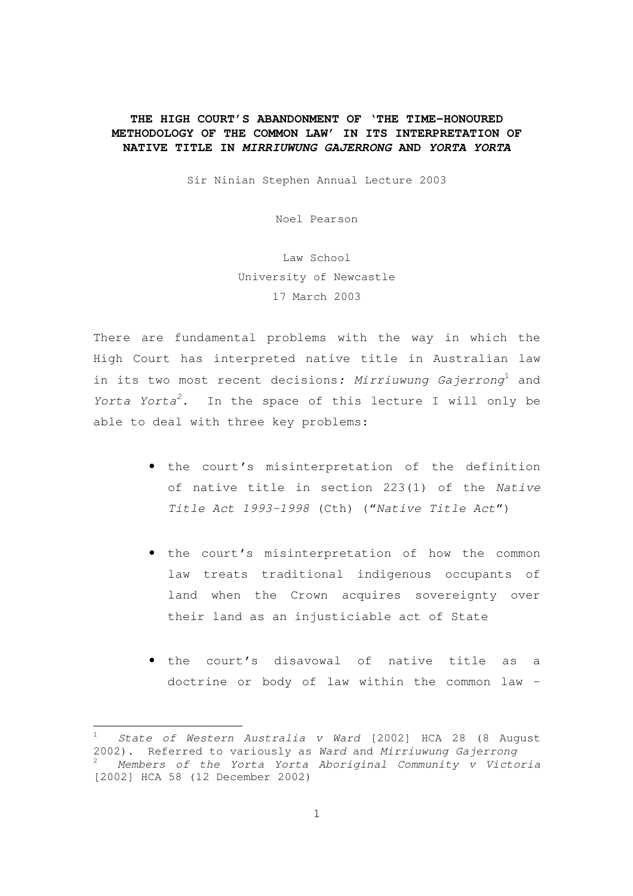## **THE HIGH COURT'S ABANDONMENT OF 'THE TIME-HONOURED METHODOLOGY OF THE COMMON LAW' IN ITS INTERPRETATION OF NATIVE TITLE IN MIRRIUWUNG GAJERRONG AND YORTA YORTA**

Sir Ninian Stephen Annual Lecture 2003

Noel Pearson

Law School University of Newcastle 17 March 2003

There are fundamental problems with the way in which the High Court has interpreted native title in Australian law in its two most recent decisions: Mirriuwung Gajerrong<sup>1</sup> and Yorta Yorta<sup>2</sup>. In the space of this lecture I will only be able to deal with three key problems:

- the court's misinterpretation of the definition of native title in section 223(1) of the Native Title Act 1993-1998 (Cth) ("Native Title Act")
- the court's misinterpretation of how the common law treats traditional indigenous occupants of land when the Crown acquires sovereignty over their land as an injusticiable act of State
- the court's disavowal of native title as a doctrine or body of law within the common law –

State of Western Australia v Ward [2002] HCA 28 (8 August 2002). Referred to variously as Ward and Mirriuwung Gajerrong <sup>2</sup> Members of the Yorta Yorta Aboriginal Community v Victoria [2002] HCA 58 (12 December 2002)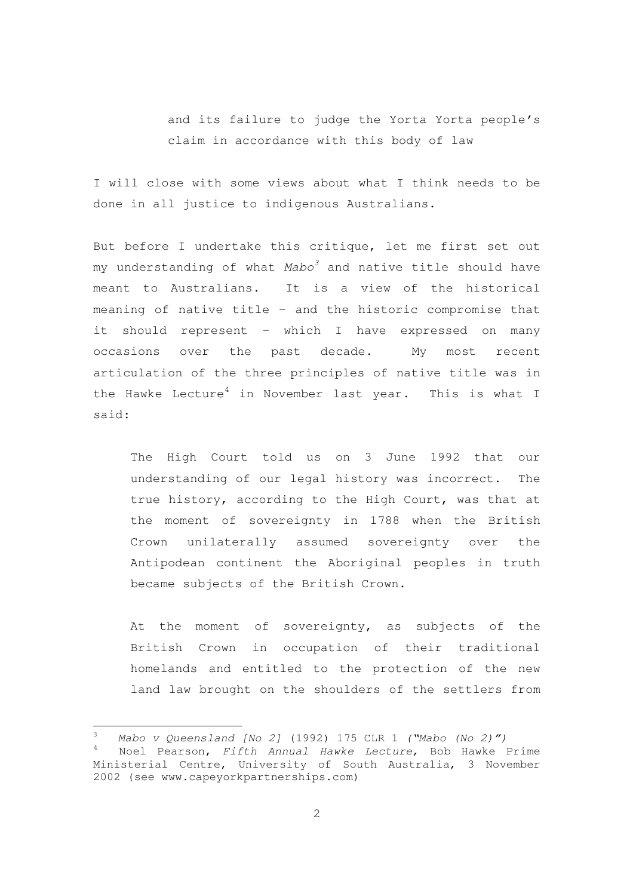and its failure to judge the Yorta Yorta people's claim in accordance with this body of law

I will close with some views about what I think needs to be done in all justice to indigenous Australians.

But before I undertake this critique, let me first set out my understanding of what  $Mabo<sup>3</sup>$  and native title should have meant to Australians. It is a view of the historical meaning of native title – and the historic compromise that it should represent – which I have expressed on many occasions over the past decade. My most recent articulation of the three principles of native title was in the Hawke Lecture<sup>4</sup> in November last year. This is what I said:

The High Court told us on 3 June 1992 that our understanding of our legal history was incorrect. The true history, according to the High Court, was that at the moment of sovereignty in 1788 when the British Crown unilaterally assumed sovereignty over the Antipodean continent the Aboriginal peoples in truth became subjects of the British Crown.

At the moment of sovereignty, as subjects of the British Crown in occupation of their traditional homelands and entitled to the protection of the new land law brought on the shoulders of the settlers from

 $\frac{3}{4}$  Mabo v Queensland [No 2] (1992) 175 CLR 1 ("Mabo (No 2)") Noel Pearson, Fifth Annual Hawke Lecture, Bob Hawke Prime Ministerial Centre, University of South Australia, 3 November 2002 (see www.capeyorkpartnerships.com)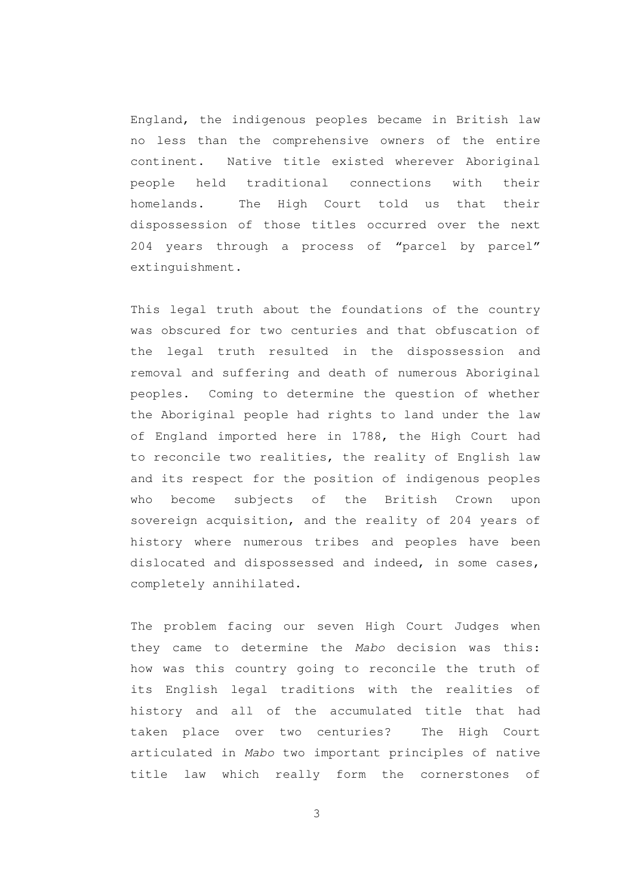England, the indigenous peoples became in British law no less than the comprehensive owners of the entire continent. Native title existed wherever Aboriginal people held traditional connections with their homelands. The High Court told us that their dispossession of those titles occurred over the next 204 years through a process of "parcel by parcel" extinguishment.

This legal truth about the foundations of the country was obscured for two centuries and that obfuscation of the legal truth resulted in the dispossession and removal and suffering and death of numerous Aboriginal peoples. Coming to determine the question of whether the Aboriginal people had rights to land under the law of England imported here in 1788, the High Court had to reconcile two realities, the reality of English law and its respect for the position of indigenous peoples who become subjects of the British Crown upon sovereign acquisition, and the reality of 204 years of history where numerous tribes and peoples have been dislocated and dispossessed and indeed, in some cases, completely annihilated.

The problem facing our seven High Court Judges when they came to determine the Mabo decision was this: how was this country going to reconcile the truth of its English legal traditions with the realities of history and all of the accumulated title that had taken place over two centuries? The High Court articulated in Mabo two important principles of native title law which really form the cornerstones of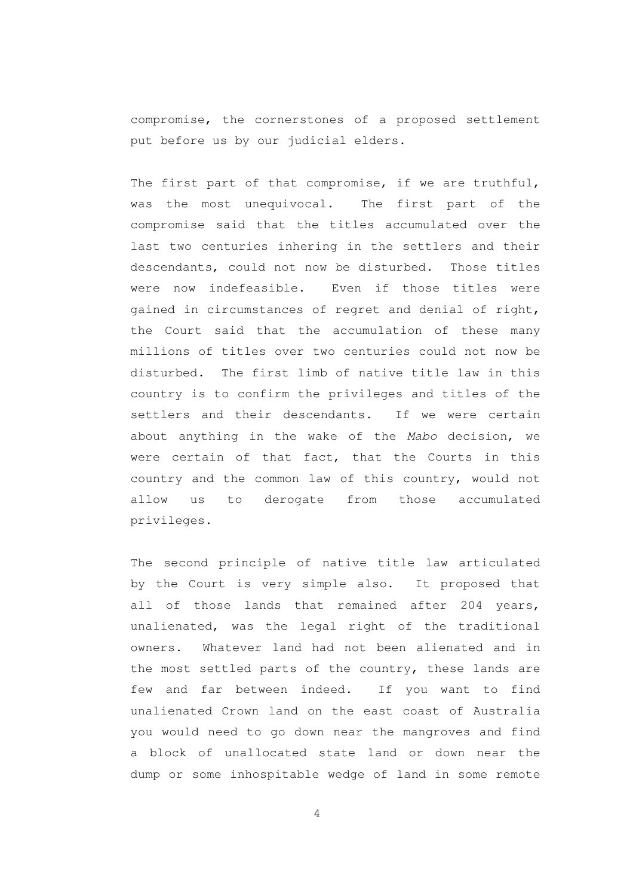compromise, the cornerstones of a proposed settlement put before us by our judicial elders.

The first part of that compromise, if we are truthful, was the most unequivocal. The first part of the compromise said that the titles accumulated over the last two centuries inhering in the settlers and their descendants, could not now be disturbed. Those titles were now indefeasible. Even if those titles were gained in circumstances of regret and denial of right, the Court said that the accumulation of these many millions of titles over two centuries could not now be disturbed. The first limb of native title law in this country is to confirm the privileges and titles of the settlers and their descendants. If we were certain about anything in the wake of the Mabo decision, we were certain of that fact, that the Courts in this country and the common law of this country, would not allow us to derogate from those accumulated privileges.

The second principle of native title law articulated by the Court is very simple also. It proposed that all of those lands that remained after 204 years, unalienated, was the legal right of the traditional owners. Whatever land had not been alienated and in the most settled parts of the country, these lands are few and far between indeed. If you want to find unalienated Crown land on the east coast of Australia you would need to go down near the mangroves and find a block of unallocated state land or down near the dump or some inhospitable wedge of land in some remote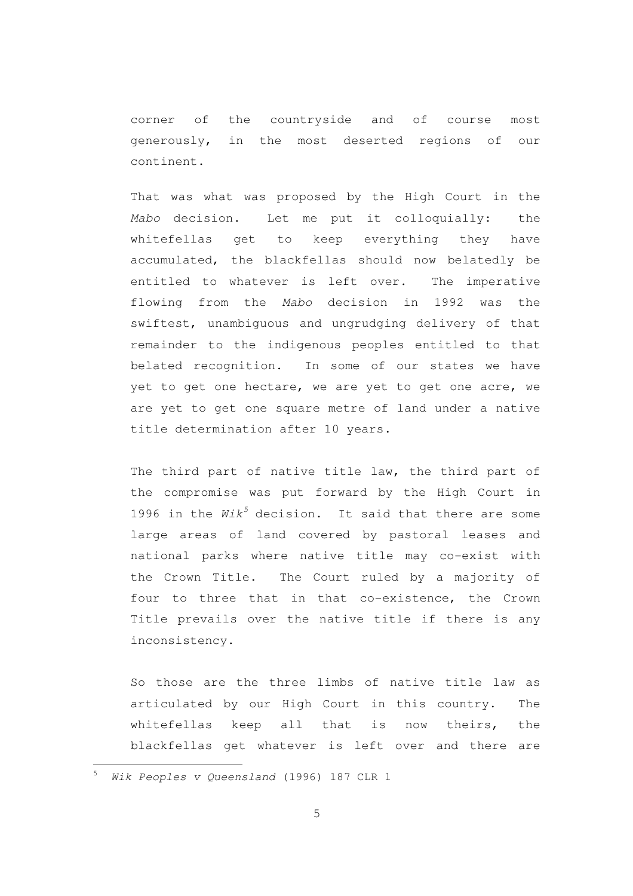corner of the countryside and of course most generously, in the most deserted regions of our continent.

That was what was proposed by the High Court in the Mabo decision. Let me put it colloquially: the whitefellas get to keep everything they have accumulated, the blackfellas should now belatedly be entitled to whatever is left over. The imperative flowing from the Mabo decision in 1992 was the swiftest, unambiguous and ungrudging delivery of that remainder to the indigenous peoples entitled to that belated recognition. In some of our states we have yet to get one hectare, we are yet to get one acre, we are yet to get one square metre of land under a native title determination after 10 years.

The third part of native title law, the third part of the compromise was put forward by the High Court in 1996 in the  $Wik^5$  decision. It said that there are some large areas of land covered by pastoral leases and national parks where native title may co-exist with the Crown Title. The Court ruled by a majority of four to three that in that co-existence, the Crown Title prevails over the native title if there is any inconsistency.

So those are the three limbs of native title law as articulated by our High Court in this country. The whitefellas keep all that is now theirs, the blackfellas get whatever is left over and there are

Wik Peoples v Queensland (1996) 187 CLR 1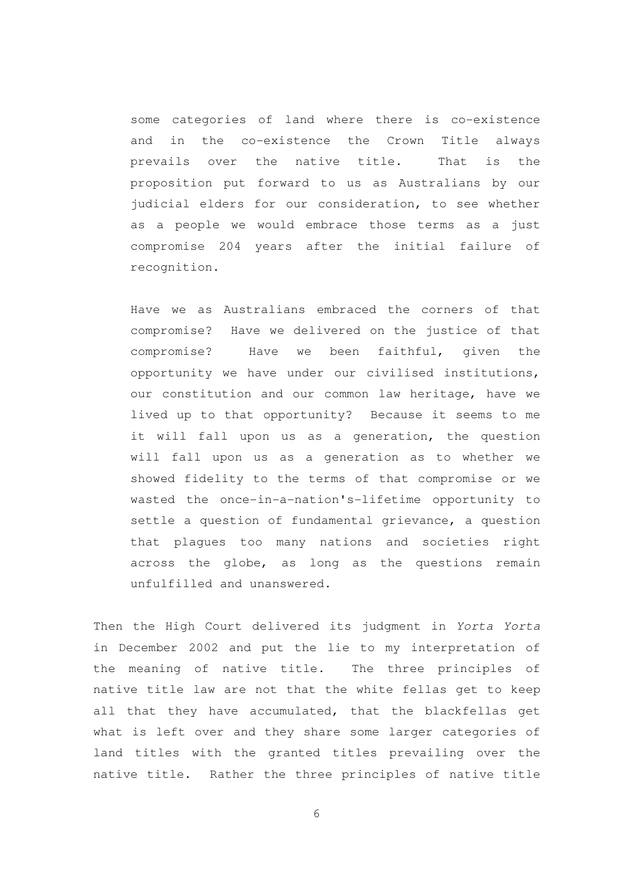some categories of land where there is co-existence and in the co-existence the Crown Title always prevails over the native title. That is the proposition put forward to us as Australians by our judicial elders for our consideration, to see whether as a people we would embrace those terms as a just compromise 204 years after the initial failure of recognition.

Have we as Australians embraced the corners of that compromise? Have we delivered on the justice of that compromise? Have we been faithful, given the opportunity we have under our civilised institutions, our constitution and our common law heritage, have we lived up to that opportunity? Because it seems to me it will fall upon us as a generation, the question will fall upon us as a generation as to whether we showed fidelity to the terms of that compromise or we wasted the once-in-a-nation's-lifetime opportunity to settle a question of fundamental grievance, a question that plagues too many nations and societies right across the globe, as long as the questions remain unfulfilled and unanswered.

Then the High Court delivered its judgment in Yorta Yorta in December 2002 and put the lie to my interpretation of the meaning of native title. The three principles of native title law are not that the white fellas get to keep all that they have accumulated, that the blackfellas get what is left over and they share some larger categories of land titles with the granted titles prevailing over the native title. Rather the three principles of native title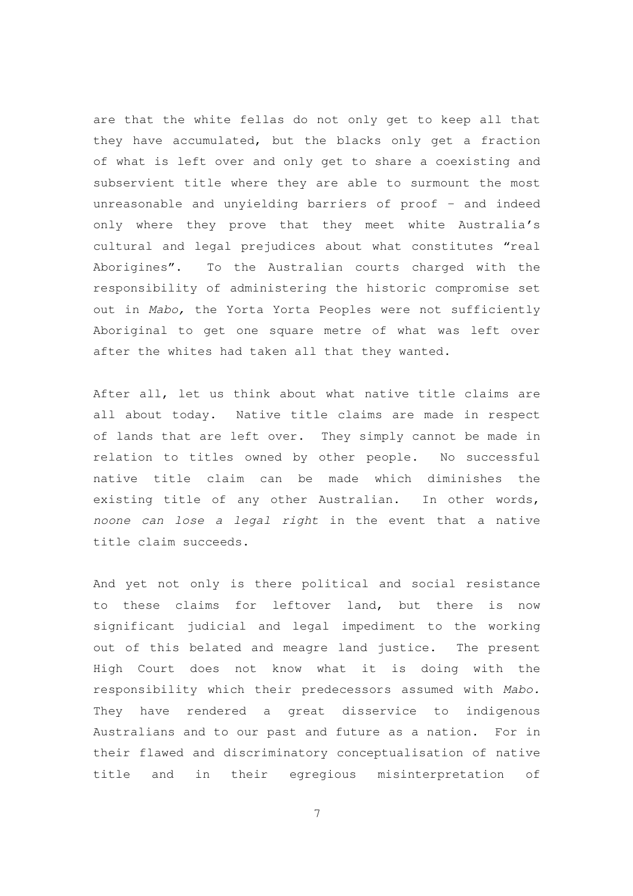are that the white fellas do not only get to keep all that they have accumulated, but the blacks only get a fraction of what is left over and only get to share a coexisting and subservient title where they are able to surmount the most unreasonable and unyielding barriers of proof – and indeed only where they prove that they meet white Australia's cultural and legal prejudices about what constitutes "real Aborigines". To the Australian courts charged with the responsibility of administering the historic compromise set out in Mabo, the Yorta Yorta Peoples were not sufficiently Aboriginal to get one square metre of what was left over after the whites had taken all that they wanted.

After all, let us think about what native title claims are all about today. Native title claims are made in respect of lands that are left over. They simply cannot be made in relation to titles owned by other people. No successful native title claim can be made which diminishes the existing title of any other Australian. In other words, noone can lose a legal right in the event that a native title claim succeeds.

And yet not only is there political and social resistance to these claims for leftover land, but there is now significant judicial and legal impediment to the working out of this belated and meagre land justice. The present High Court does not know what it is doing with the responsibility which their predecessors assumed with Mabo. They have rendered a great disservice to indigenous Australians and to our past and future as a nation. For in their flawed and discriminatory conceptualisation of native title and in their egregious misinterpretation of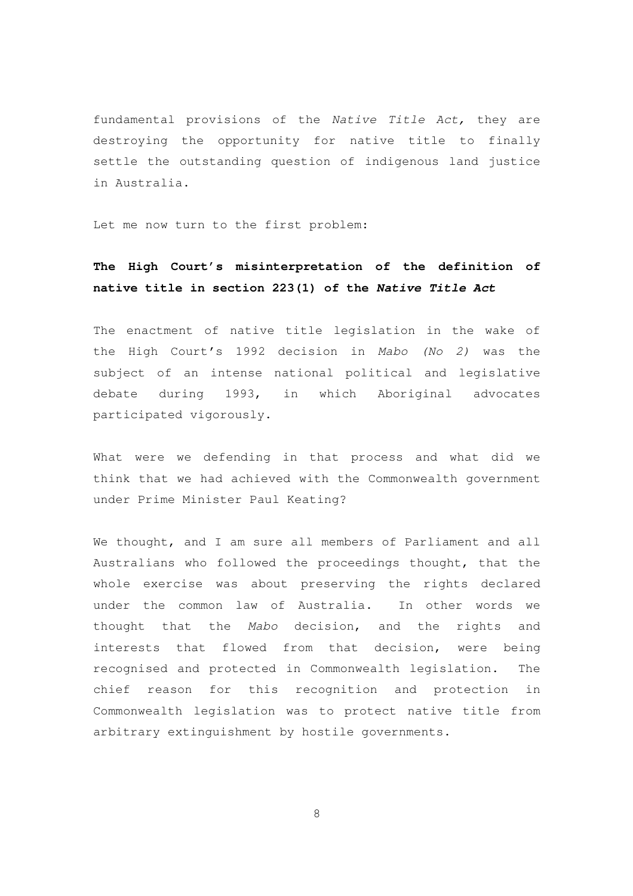fundamental provisions of the Native Title Act, they are destroying the opportunity for native title to finally settle the outstanding question of indigenous land justice in Australia.

Let me now turn to the first problem:

## **The High Court's misinterpretation of the definition of native title in section 223(1) of the Native Title Act**

The enactment of native title legislation in the wake of the High Court's 1992 decision in Mabo (No 2) was the subject of an intense national political and legislative debate during 1993, in which Aboriginal advocates participated vigorously.

What were we defending in that process and what did we think that we had achieved with the Commonwealth government under Prime Minister Paul Keating?

We thought, and I am sure all members of Parliament and all Australians who followed the proceedings thought, that the whole exercise was about preserving the rights declared under the common law of Australia. In other words we thought that the Mabo decision, and the rights and interests that flowed from that decision, were being recognised and protected in Commonwealth legislation. The chief reason for this recognition and protection in Commonwealth legislation was to protect native title from arbitrary extinguishment by hostile governments.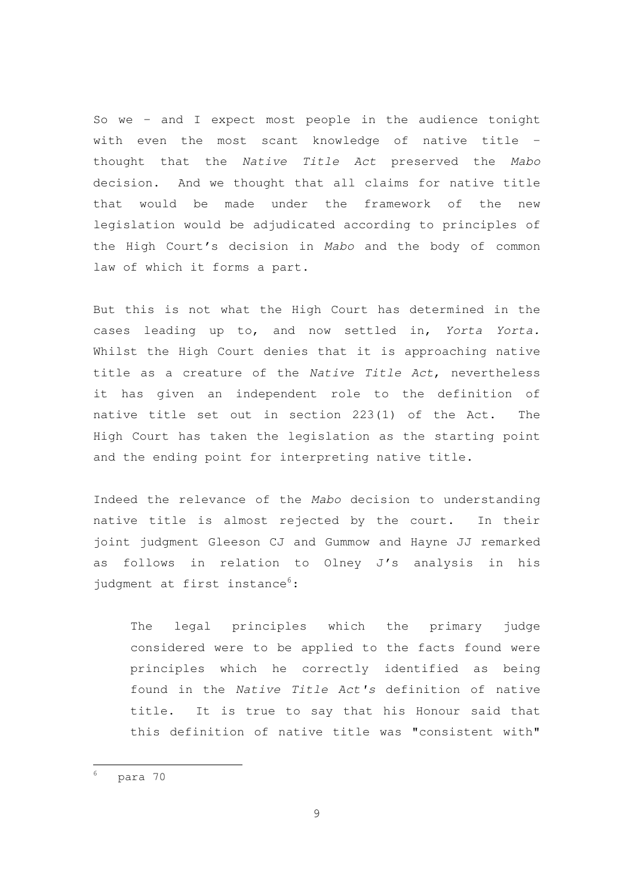So we – and I expect most people in the audience tonight with even the most scant knowledge of native title – thought that the Native Title Act preserved the Mabo decision. And we thought that all claims for native title that would be made under the framework of the new legislation would be adjudicated according to principles of the High Court's decision in Mabo and the body of common law of which it forms a part.

But this is not what the High Court has determined in the cases leading up to, and now settled in, Yorta Yorta. Whilst the High Court denies that it is approaching native title as a creature of the Native Title Act, nevertheless it has given an independent role to the definition of native title set out in section 223(1) of the Act. The High Court has taken the legislation as the starting point and the ending point for interpreting native title.

Indeed the relevance of the Mabo decision to understanding native title is almost rejected by the court. In their joint judgment Gleeson CJ and Gummow and Hayne JJ remarked as follows in relation to Olney J's analysis in his judgment at first instance<sup>6</sup>:

The legal principles which the primary judge considered were to be applied to the facts found were principles which he correctly identified as being found in the Native Title Act's definition of native title. It is true to say that his Honour said that this definition of native title was "consistent with"

<sup>6</sup> para 70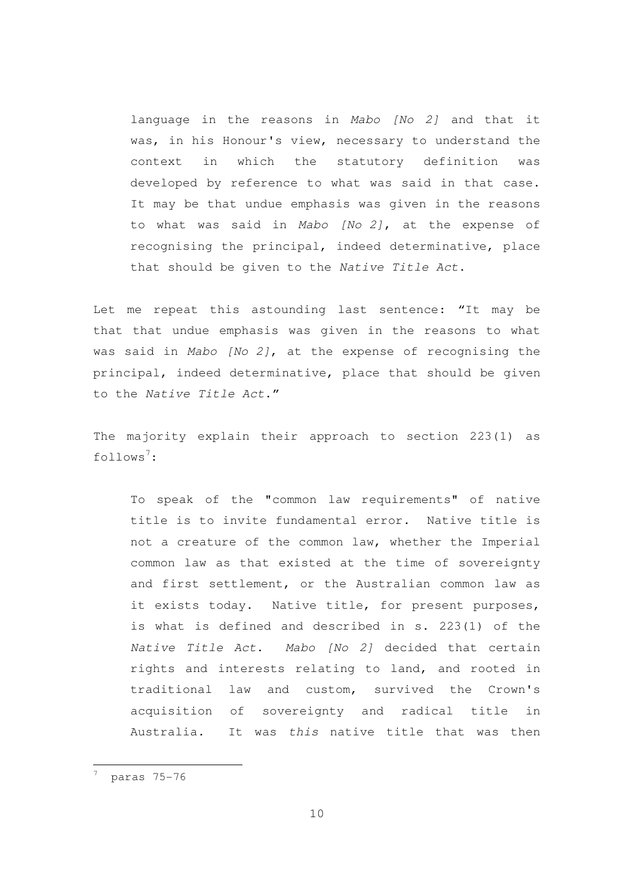language in the reasons in Mabo [No 2] and that it was, in his Honour's view, necessary to understand the context in which the statutory definition was developed by reference to what was said in that case. It may be that undue emphasis was given in the reasons to what was said in Mabo [No 2], at the expense of recognising the principal, indeed determinative, place that should be given to the Native Title Act.

Let me repeat this astounding last sentence: "It may be that that undue emphasis was given in the reasons to what was said in Mabo [No 2], at the expense of recognising the principal, indeed determinative, place that should be given to the Native Title Act."

The majority explain their approach to section 223(1) as follows<sup>7</sup>:

To speak of the "common law requirements" of native title is to invite fundamental error. Native title is not a creature of the common law, whether the Imperial common law as that existed at the time of sovereignty and first settlement, or the Australian common law as it exists today. Native title, for present purposes, is what is defined and described in s. 223(1) of the Native Title Act. Mabo [No 2] decided that certain rights and interests relating to land, and rooted in traditional law and custom, survived the Crown's acquisition of sovereignty and radical title in Australia. It was this native title that was then

<sup>7</sup> paras 75-76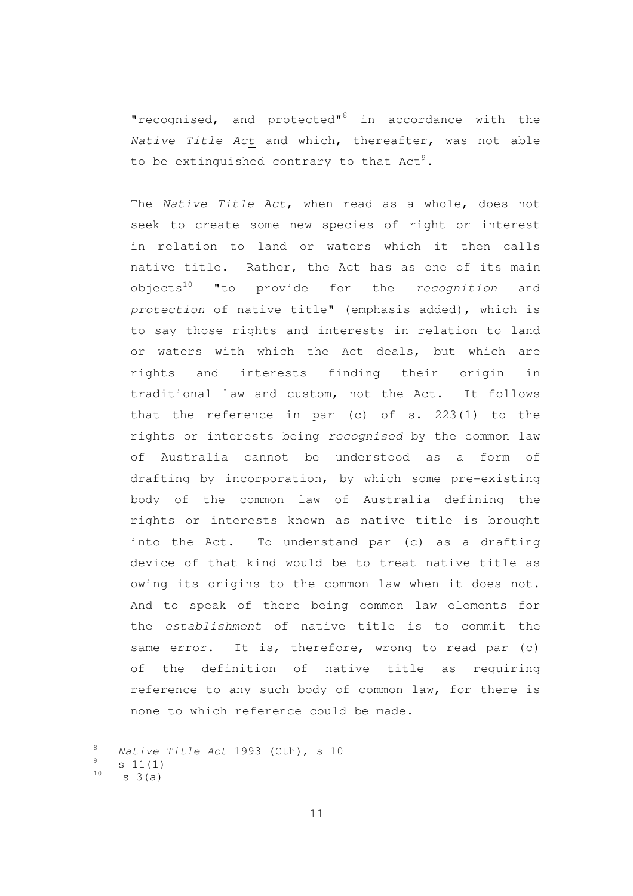"recognised, and protected"<sup>8</sup> in accordance with the Native Title Act and which, thereafter, was not able to be extinguished contrary to that  $Act<sup>9</sup>$ .

The Native Title Act, when read as a whole, does not seek to create some new species of right or interest in relation to land or waters which it then calls native title. Rather, the Act has as one of its main objects<sup>10</sup> "to provide for the *recognition* and protection of native title" (emphasis added), which is to say those rights and interests in relation to land or waters with which the Act deals, but which are rights and interests finding their origin in traditional law and custom, not the Act. It follows that the reference in par (c) of s. 223(1) to the rights or interests being recognised by the common law of Australia cannot be understood as a form of drafting by incorporation, by which some pre-existing body of the common law of Australia defining the rights or interests known as native title is brought into the Act. To understand par (c) as a drafting device of that kind would be to treat native title as owing its origins to the common law when it does not. And to speak of there being common law elements for the establishment of native title is to commit the same error. It is, therefore, wrong to read par (c) of the definition of native title as requiring reference to any such body of common law, for there is none to which reference could be made.

 $8$  Native Title Act 1993 (Cth), s 10

 $\frac{9}{10}$  s 11(1)

 $s \; 3(a)$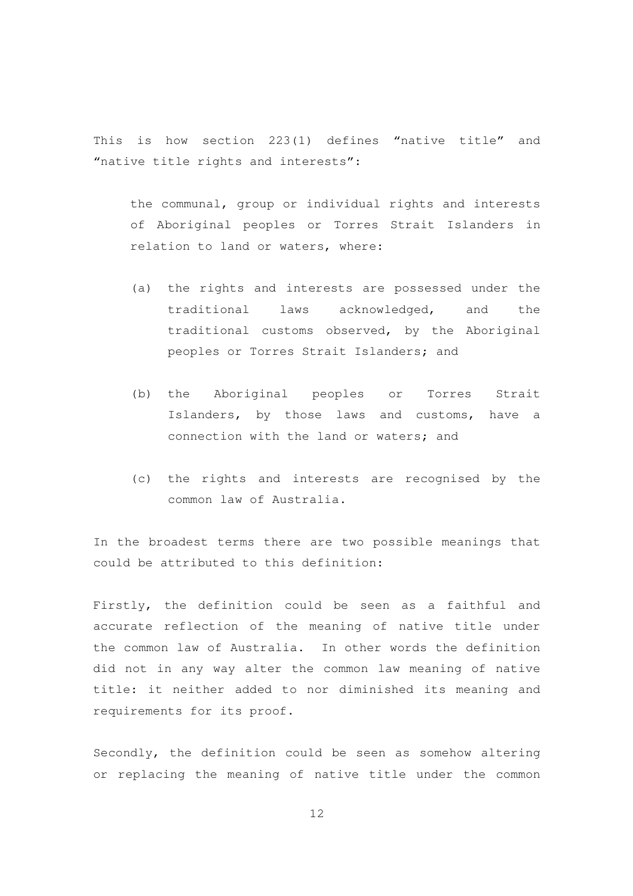This is how section 223(1) defines "native title" and "native title rights and interests":

the communal, group or individual rights and interests of Aboriginal peoples or Torres Strait Islanders in relation to land or waters, where:

- (a) the rights and interests are possessed under the traditional laws acknowledged, and the traditional customs observed, by the Aboriginal peoples or Torres Strait Islanders; and
- (b) the Aboriginal peoples or Torres Strait Islanders, by those laws and customs, have a connection with the land or waters; and
- (c) the rights and interests are recognised by the common law of Australia.

In the broadest terms there are two possible meanings that could be attributed to this definition:

Firstly, the definition could be seen as a faithful and accurate reflection of the meaning of native title under the common law of Australia. In other words the definition did not in any way alter the common law meaning of native title: it neither added to nor diminished its meaning and requirements for its proof.

Secondly, the definition could be seen as somehow altering or replacing the meaning of native title under the common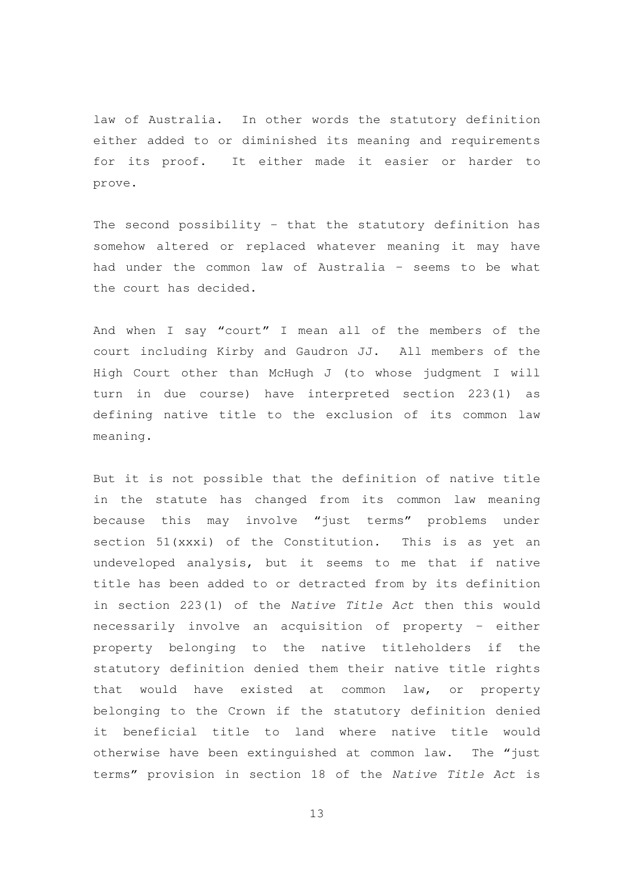law of Australia. In other words the statutory definition either added to or diminished its meaning and requirements for its proof. It either made it easier or harder to prove.

The second possibility – that the statutory definition has somehow altered or replaced whatever meaning it may have had under the common law of Australia – seems to be what the court has decided.

And when I say "court" I mean all of the members of the court including Kirby and Gaudron JJ. All members of the High Court other than McHugh J (to whose judgment I will turn in due course) have interpreted section 223(1) as defining native title to the exclusion of its common law meaning.

But it is not possible that the definition of native title in the statute has changed from its common law meaning because this may involve "just terms" problems under section 51(xxxi) of the Constitution. This is as yet an undeveloped analysis, but it seems to me that if native title has been added to or detracted from by its definition in section 223(1) of the Native Title Act then this would necessarily involve an acquisition of property – either property belonging to the native titleholders if the statutory definition denied them their native title rights that would have existed at common law, or property belonging to the Crown if the statutory definition denied it beneficial title to land where native title would otherwise have been extinguished at common law. The "just terms" provision in section 18 of the Native Title Act is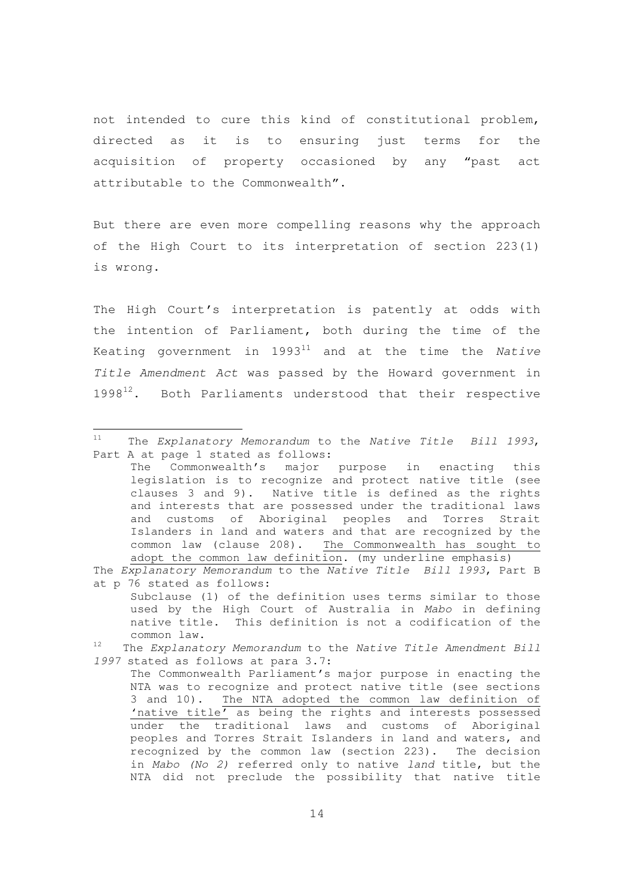not intended to cure this kind of constitutional problem, directed as it is to ensuring just terms for the acquisition of property occasioned by any "past act attributable to the Commonwealth".

But there are even more compelling reasons why the approach of the High Court to its interpretation of section 223(1) is wrong.

The High Court's interpretation is patently at odds with the intention of Parliament, both during the time of the Keating government in  $1993^{11}$  and at the time the Native Title Amendment Act was passed by the Howard government in 1998<sup>12</sup>. Both Parliaments understood that their respective

 $11$  The Explanatory Memorandum to the Native Title Bill 1993, Part A at page 1 stated as follows:

The Commonwealth's major purpose in enacting this legislation is to recognize and protect native title (see clauses 3 and 9). Native title is defined as the rights and interests that are possessed under the traditional laws and customs of Aboriginal peoples and Torres Strait Islanders in land and waters and that are recognized by the common law (clause 208). The Commonwealth has sought to adopt the common law definition. (my underline emphasis)

The Explanatory Memorandum to the Native Title Bill 1993, Part B at p 76 stated as follows:

Subclause (1) of the definition uses terms similar to those used by the High Court of Australia in Mabo in defining native title. This definition is not a codification of the common law.

 $12$  The Explanatory Memorandum to the Native Title Amendment Bill 1997 stated as follows at para 3.7:

The Commonwealth Parliament's major purpose in enacting the NTA was to recognize and protect native title (see sections 3 and 10). The NTA adopted the common law definition of 'native title' as being the rights and interests possessed under the traditional laws and customs of Aboriginal peoples and Torres Strait Islanders in land and waters, and recognized by the common law (section 223). The decision in Mabo (No 2) referred only to native land title, but the NTA did not preclude the possibility that native title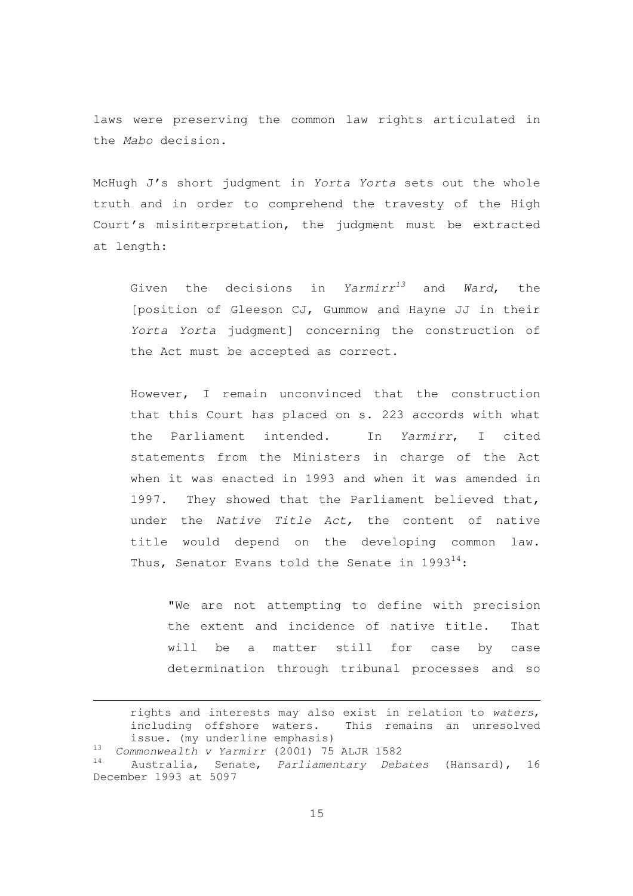laws were preserving the common law rights articulated in the Mabo decision.

McHugh J's short judgment in Yorta Yorta sets out the whole truth and in order to comprehend the travesty of the High Court's misinterpretation, the judgment must be extracted at length:

Given the decisions in  $Yarmirr^{13}$  and Ward, the [position of Gleeson CJ, Gummow and Hayne JJ in their Yorta Yorta judgment] concerning the construction of the Act must be accepted as correct.

However, I remain unconvinced that the construction that this Court has placed on s. 223 accords with what the Parliament intended. In Yarmirr, I cited statements from the Ministers in charge of the Act when it was enacted in 1993 and when it was amended in 1997. They showed that the Parliament believed that, under the Native Title Act, the content of native title would depend on the developing common law. Thus, Senator Evans told the Senate in 1993 $^{14}$ :

"We are not attempting to define with precision the extent and incidence of native title. That will be a matter still for case by case determination through tribunal processes and so

rights and interests may also exist in relation to waters, including offshore waters. This remains an unresolved issue. (my underline emphasis)  $13$  Commonwealth v Yarmirr (2001) 75 ALJR 1582 Australia, Senate, Parliamentary Debates (Hansard), 16 December 1993 at 5097

 $\overline{a}$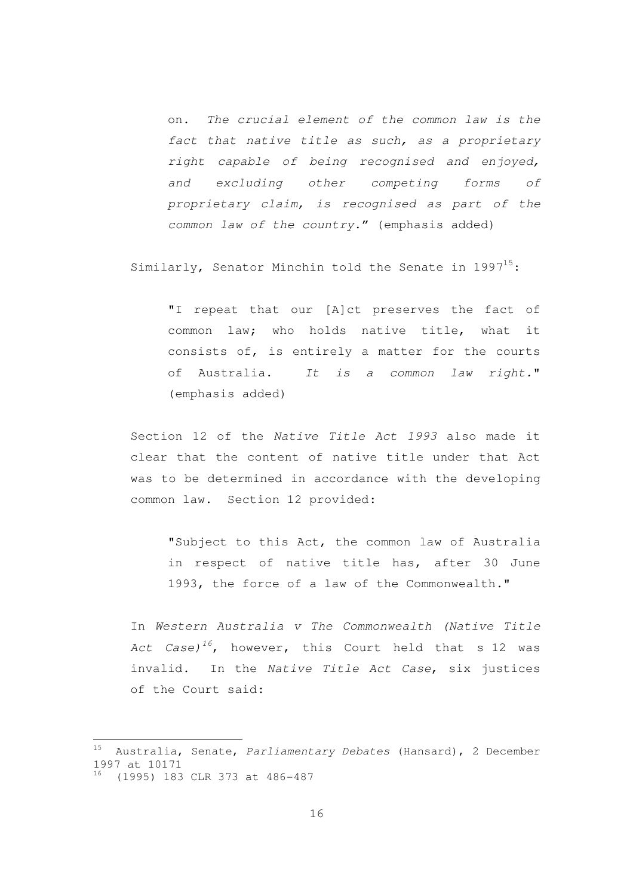on. The crucial element of the common law is the fact that native title as such, as a proprietary right capable of being recognised and enjoyed, and excluding other competing forms of proprietary claim, is recognised as part of the common law of the country." (emphasis added)

Similarly, Senator Minchin told the Senate in  $1997^{15}$ :

"I repeat that our [A]ct preserves the fact of common law; who holds native title, what it consists of, is entirely a matter for the courts of Australia. It is a common law right." (emphasis added)

Section 12 of the Native Title Act 1993 also made it clear that the content of native title under that Act was to be determined in accordance with the developing common law. Section 12 provided:

"Subject to this Act, the common law of Australia in respect of native title has, after 30 June 1993, the force of a law of the Commonwealth."

In Western Australia v The Commonwealth (Native Title Act Case)<sup>16</sup>, however, this Court held that s 12 was invalid. In the Native Title Act Case, six justices of the Court said:

<sup>15</sup> Australia, Senate, Parliamentary Debates (Hansard), 2 December 1997 at 10171 <sup>16</sup> (1995) 183 CLR 373 at 486-487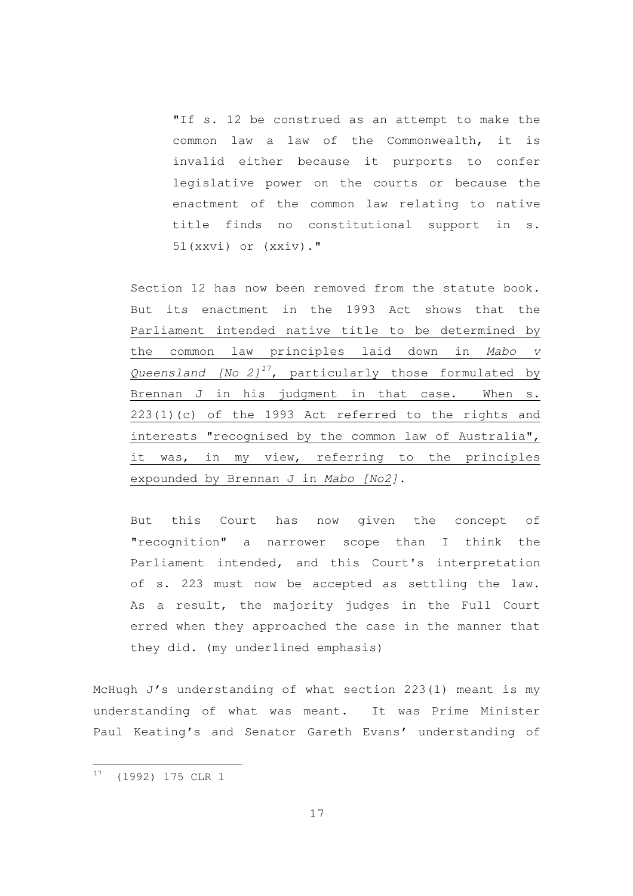"If s. 12 be construed as an attempt to make the common law a law of the Commonwealth, it is invalid either because it purports to confer legislative power on the courts or because the enactment of the common law relating to native title finds no constitutional support in s. 51(xxvi) or (xxiv)."

Section 12 has now been removed from the statute book. But its enactment in the 1993 Act shows that the Parliament intended native title to be determined by the common law principles laid down in Mabo v Queensland  $[No 2]^{17}$ , particularly those formulated by Brennan J in his judgment in that case. When s. 223(1)(c) of the 1993 Act referred to the rights and interests "recognised by the common law of Australia", it was, in my view, referring to the principles expounded by Brennan J in Mabo [No2].

But this Court has now given the concept of "recognition" a narrower scope than I think the Parliament intended, and this Court's interpretation of s. 223 must now be accepted as settling the law. As a result, the majority judges in the Full Court erred when they approached the case in the manner that they did. (my underlined emphasis)

McHugh J's understanding of what section 223(1) meant is my understanding of what was meant. It was Prime Minister Paul Keating's and Senator Gareth Evans' understanding of

<sup>17</sup> (1992) 175 CLR 1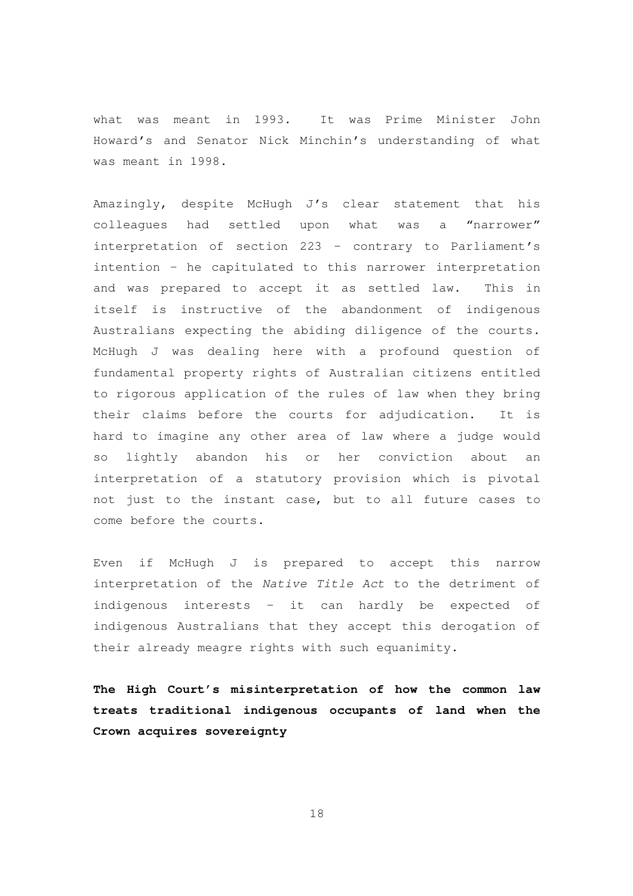what was meant in 1993. It was Prime Minister John Howard's and Senator Nick Minchin's understanding of what was meant in 1998.

Amazingly, despite McHugh J's clear statement that his colleagues had settled upon what was a "narrower" interpretation of section 223 – contrary to Parliament's intention – he capitulated to this narrower interpretation and was prepared to accept it as settled law. This in itself is instructive of the abandonment of indigenous Australians expecting the abiding diligence of the courts. McHugh J was dealing here with a profound question of fundamental property rights of Australian citizens entitled to rigorous application of the rules of law when they bring their claims before the courts for adjudication. It is hard to imagine any other area of law where a judge would so lightly abandon his or her conviction about an interpretation of a statutory provision which is pivotal not just to the instant case, but to all future cases to come before the courts.

Even if McHugh J is prepared to accept this narrow interpretation of the Native Title Act to the detriment of indigenous interests – it can hardly be expected of indigenous Australians that they accept this derogation of their already meagre rights with such equanimity.

**The High Court's misinterpretation of how the common law treats traditional indigenous occupants of land when the Crown acquires sovereignty**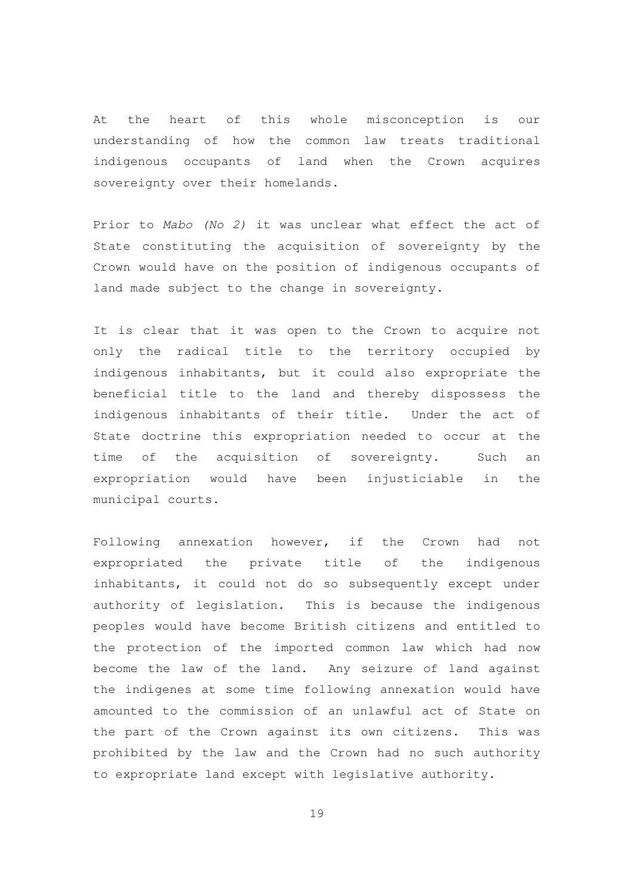At the heart of this whole misconception is our understanding of how the common law treats traditional indigenous occupants of land when the Crown acquires sovereignty over their homelands.

Prior to Mabo (No 2) it was unclear what effect the act of State constituting the acquisition of sovereignty by the Crown would have on the position of indigenous occupants of land made subject to the change in sovereignty.

It is clear that it was open to the Crown to acquire not only the radical title to the territory occupied by indigenous inhabitants, but it could also expropriate the beneficial title to the land and thereby dispossess the indigenous inhabitants of their title. Under the act of State doctrine this expropriation needed to occur at the time of the acquisition of sovereignty. Such an expropriation would have been injusticiable in the municipal courts.

Following annexation however, if the Crown had not expropriated the private title of the indigenous inhabitants, it could not do so subsequently except under authority of legislation. This is because the indigenous peoples would have become British citizens and entitled to the protection of the imported common law which had now become the law of the land. Any seizure of land against the indigenes at some time following annexation would have amounted to the commission of an unlawful act of State on the part of the Crown against its own citizens. This was prohibited by the law and the Crown had no such authority to expropriate land except with legislative authority.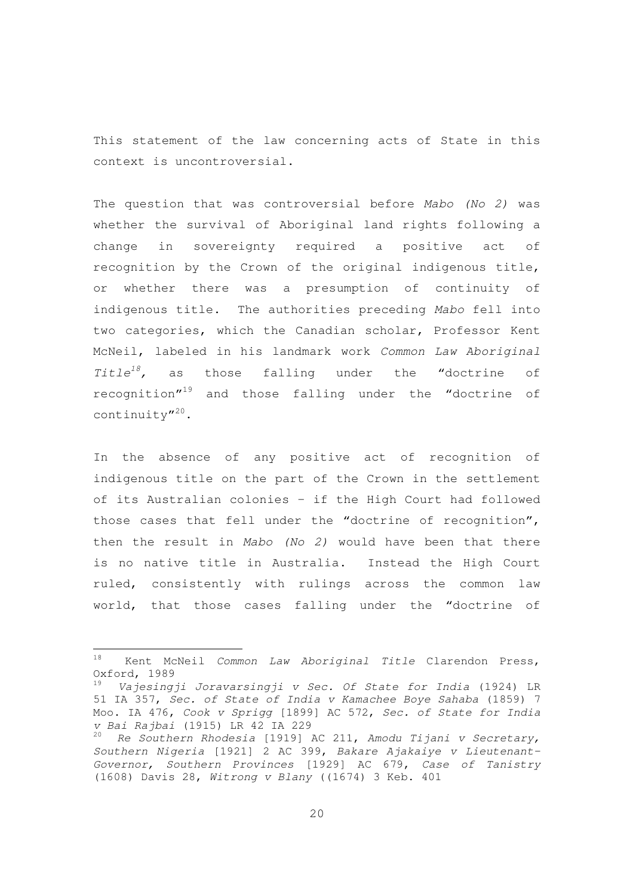This statement of the law concerning acts of State in this context is uncontroversial.

The question that was controversial before Mabo (No 2) was whether the survival of Aboriginal land rights following a change in sovereignty required a positive act of recognition by the Crown of the original indigenous title, or whether there was a presumption of continuity of indigenous title. The authorities preceding Mabo fell into two categories, which the Canadian scholar, Professor Kent McNeil, labeled in his landmark work Common Law Aboriginal Title<sup>18</sup>, as those falling under the "doctrine of recognition"<sup>19</sup> and those falling under the "doctrine of continuity"<sup>20</sup>.

In the absence of any positive act of recognition of indigenous title on the part of the Crown in the settlement of its Australian colonies – if the High Court had followed those cases that fell under the "doctrine of recognition", then the result in Mabo (No 2) would have been that there is no native title in Australia. Instead the High Court ruled, consistently with rulings across the common law world, that those cases falling under the "doctrine of

<sup>&</sup>lt;sup>18</sup> Kent McNeil *Common Law Aboriginal Title* Clarendon Press, Oxford, 1989

<sup>19</sup> Vajesingji Joravarsingji v Sec. Of State for India (1924) LR 51 IA 357, Sec. of State of India v Kamachee Boye Sahaba (1859) 7 Moo. IA 476, Cook v Sprigg [1899] AC 572, Sec. of State for India v Bai Rajbai (1915) LR 42 IA 229

Re Southern Rhodesia [1919] AC 211, Amodu Tijani v Secretary, Southern Nigeria [1921] 2 AC 399, Bakare Ajakaiye v Lieutenant-Governor, Southern Provinces [1929] AC 679, Case of Tanistry (1608) Davis 28, Witrong v Blany ((1674) 3 Keb. 401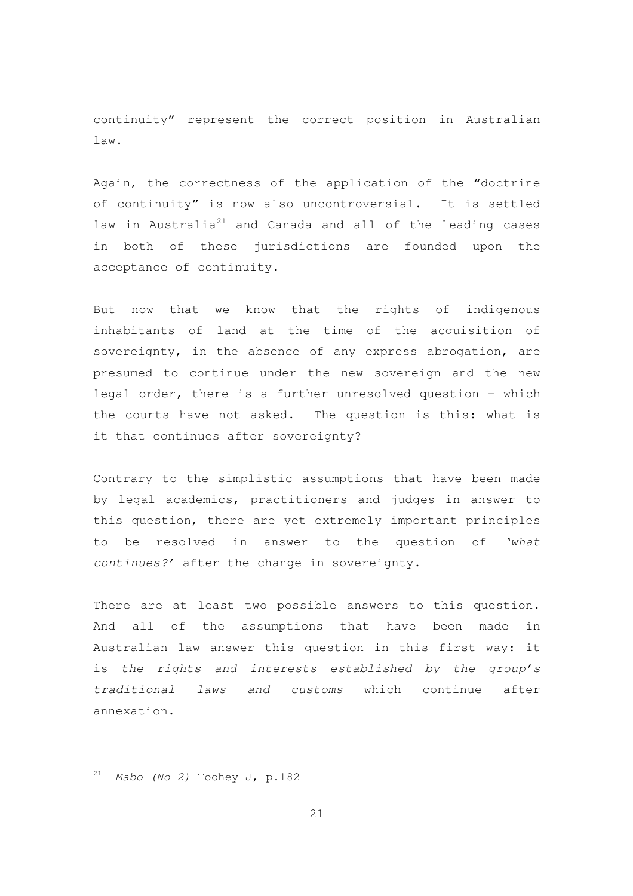continuity" represent the correct position in Australian law.

Again, the correctness of the application of the "doctrine of continuity" is now also uncontroversial. It is settled law in Australia<sup>21</sup> and Canada and all of the leading cases in both of these jurisdictions are founded upon the acceptance of continuity.

But now that we know that the rights of indigenous inhabitants of land at the time of the acquisition of sovereignty, in the absence of any express abrogation, are presumed to continue under the new sovereign and the new legal order, there is a further unresolved question – which the courts have not asked. The question is this: what is it that continues after sovereignty?

Contrary to the simplistic assumptions that have been made by legal academics, practitioners and judges in answer to this question, there are yet extremely important principles to be resolved in answer to the question of 'what continues?' after the change in sovereignty.

There are at least two possible answers to this question. And all of the assumptions that have been made in Australian law answer this question in this first way: it is the rights and interests established by the group's traditional laws and customs which continue after annexation.

 $21$  Mabo (No 2) Toohey J, p.182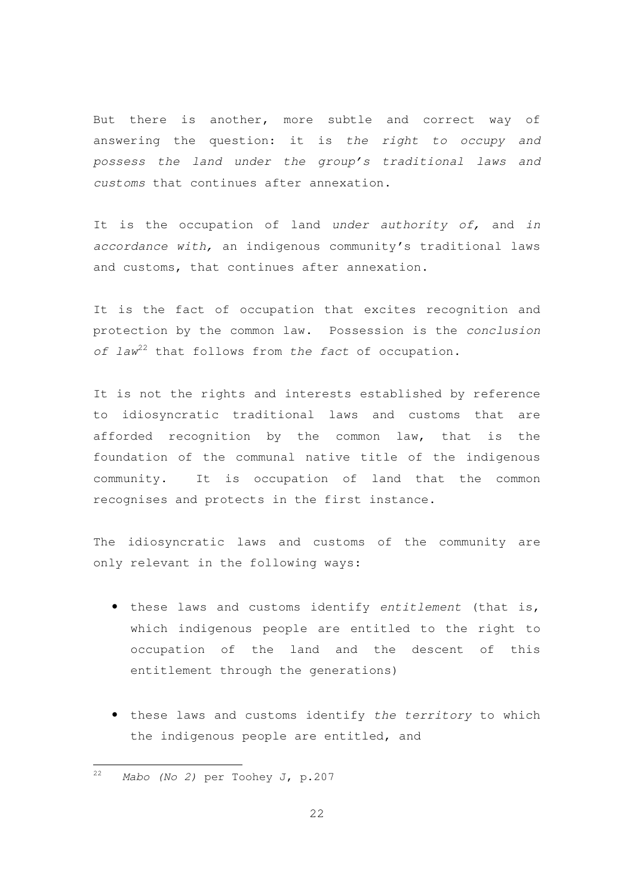But there is another, more subtle and correct way of answering the question: it is the right to occupy and possess the land under the group's traditional laws and customs that continues after annexation.

It is the occupation of land under authority of, and in accordance with, an indigenous community's traditional laws and customs, that continues after annexation.

It is the fact of occupation that excites recognition and protection by the common law. Possession is the conclusion of  $law^{22}$  that follows from the fact of occupation.

It is not the rights and interests established by reference to idiosyncratic traditional laws and customs that are afforded recognition by the common law, that is the foundation of the communal native title of the indigenous community. It is occupation of land that the common recognises and protects in the first instance.

The idiosyncratic laws and customs of the community are only relevant in the following ways:

- these laws and customs identify entitlement (that is, which indigenous people are entitled to the right to occupation of the land and the descent of this entitlement through the generations)
- these laws and customs identify the territory to which the indigenous people are entitled, and

<sup>&</sup>lt;sup>22</sup> Mabo (No 2) per Toohey J, p.207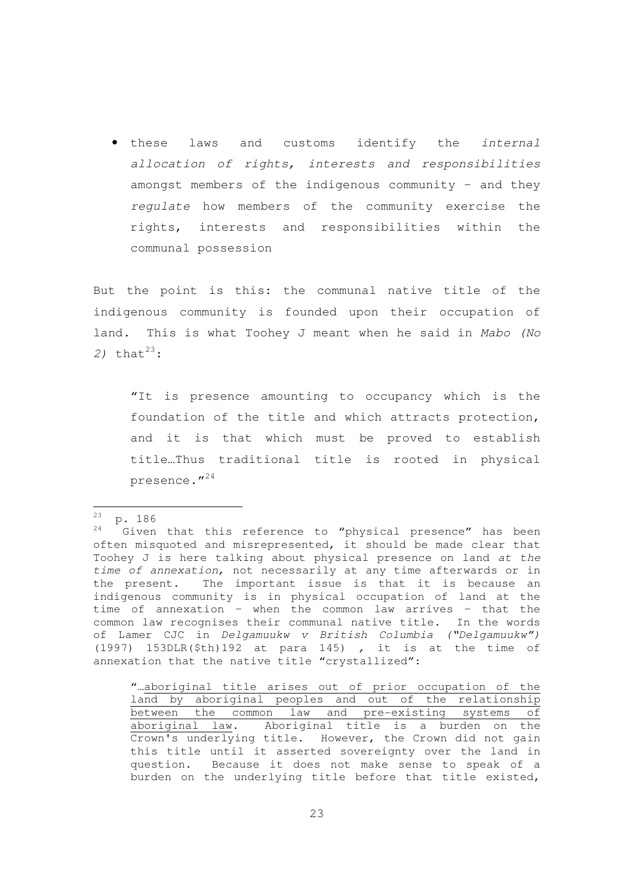• these laws and customs identify the internal allocation of rights, interests and responsibilities amongst members of the indigenous community – and they regulate how members of the community exercise the rights, interests and responsibilities within the communal possession

But the point is this: the communal native title of the indigenous community is founded upon their occupation of land. This is what Toohey J meant when he said in Mabo (No 2) that  $2^3$ :

"It is presence amounting to occupancy which is the foundation of the title and which attracts protection, and it is that which must be proved to establish title…Thus traditional title is rooted in physical presence."<sup>24</sup>

 $\frac{23}{24}$  p. 186

Given that this reference to "physical presence" has been often misquoted and misrepresented, it should be made clear that Toohey J is here talking about physical presence on land at the time of annexation, not necessarily at any time afterwards or in the present. The important issue is that it is because an indigenous community is in physical occupation of land at the time of annexation – when the common law arrives – that the common law recognises their communal native title. In the words of Lamer CJC in Delgamuukw v British Columbia ("Delgamuukw") (1997) 153DLR(\$th)192 at para 145) , it is at the time of annexation that the native title "crystallized":

<sup>&</sup>quot;…aboriginal title arises out of prior occupation of the land by aboriginal peoples and out of the relationship between the common law and pre-existing systems of aboriginal law. Aboriginal title is a burden on the Crown's underlying title. However, the Crown did not gain this title until it asserted sovereignty over the land in question. Because it does not make sense to speak of a burden on the underlying title before that title existed,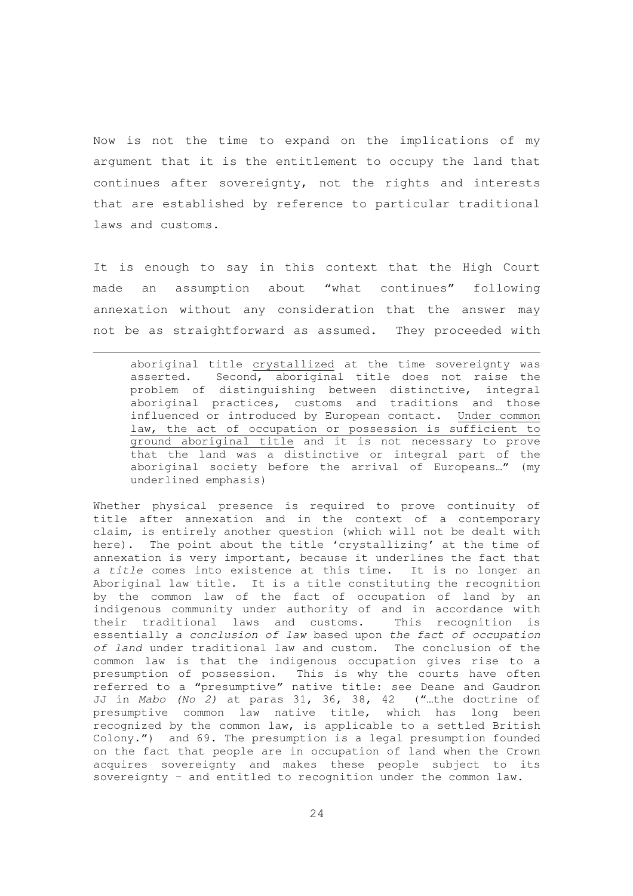Now is not the time to expand on the implications of my argument that it is the entitlement to occupy the land that continues after sovereignty, not the rights and interests that are established by reference to particular traditional laws and customs.

It is enough to say in this context that the High Court made an assumption about "what continues" following annexation without any consideration that the answer may not be as straightforward as assumed. They proceeded with

 $\overline{a}$ 

aboriginal title crystallized at the time sovereignty was asserted. Second, aboriginal title does not raise the problem of distinguishing between distinctive, integral aboriginal practices, customs and traditions and those influenced or introduced by European contact. Under common law, the act of occupation or possession is sufficient to ground aboriginal title and it is not necessary to prove that the land was a distinctive or integral part of the aboriginal society before the arrival of Europeans…" (my underlined emphasis)

Whether physical presence is required to prove continuity of title after annexation and in the context of a contemporary claim, is entirely another question (which will not be dealt with here). The point about the title 'crystallizing' at the time of annexation is very important, because it underlines the fact that a title comes into existence at this time. It is no longer an Aboriginal law title. It is a title constituting the recognition by the common law of the fact of occupation of land by an indigenous community under authority of and in accordance with their traditional laws and customs. This recognition is essentially a conclusion of law based upon the fact of occupation of land under traditional law and custom. The conclusion of the common law is that the indigenous occupation gives rise to a presumption of possession. This is why the courts have often referred to a "presumptive" native title: see Deane and Gaudron JJ in Mabo (No 2) at paras 31, 36, 38, 42 ("…the doctrine of presumptive common law native title, which has long been recognized by the common law, is applicable to a settled British Colony.") and 69. The presumption is a legal presumption founded on the fact that people are in occupation of land when the Crown acquires sovereignty and makes these people subject to its sovereignty – and entitled to recognition under the common law.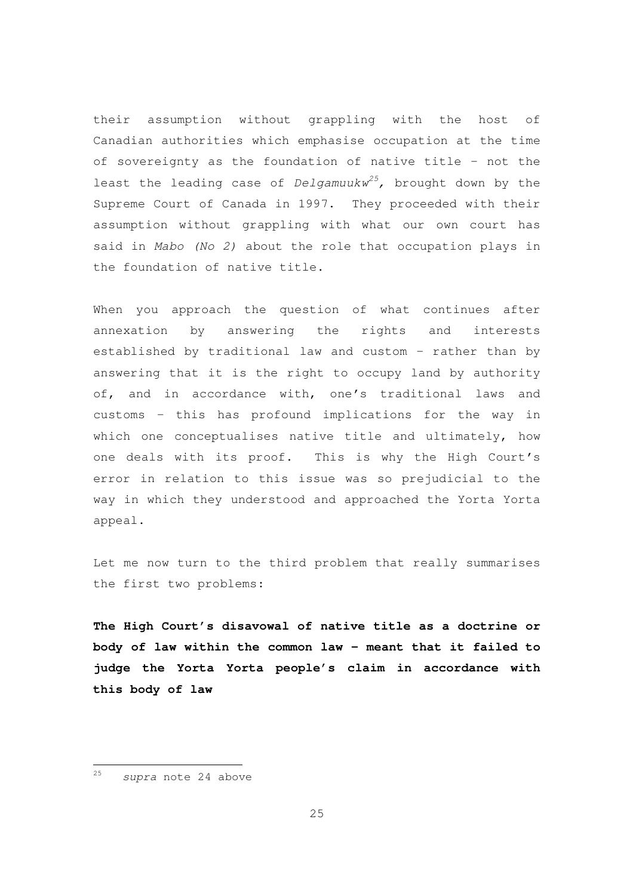their assumption without grappling with the host of Canadian authorities which emphasise occupation at the time of sovereignty as the foundation of native title – not the least the leading case of Delgamuukw<sup>25</sup>, brought down by the Supreme Court of Canada in 1997. They proceeded with their assumption without grappling with what our own court has said in Mabo (No 2) about the role that occupation plays in the foundation of native title.

When you approach the question of what continues after annexation by answering the rights and interests established by traditional law and custom – rather than by answering that it is the right to occupy land by authority of, and in accordance with, one's traditional laws and customs – this has profound implications for the way in which one conceptualises native title and ultimately, how one deals with its proof. This is why the High Court's error in relation to this issue was so prejudicial to the way in which they understood and approached the Yorta Yorta appeal.

Let me now turn to the third problem that really summarises the first two problems:

**The High Court's disavowal of native title as a doctrine or body of law within the common law – meant that it failed to judge the Yorta Yorta people's claim in accordance with this body of law** 

<sup>25</sup> supra note 24 above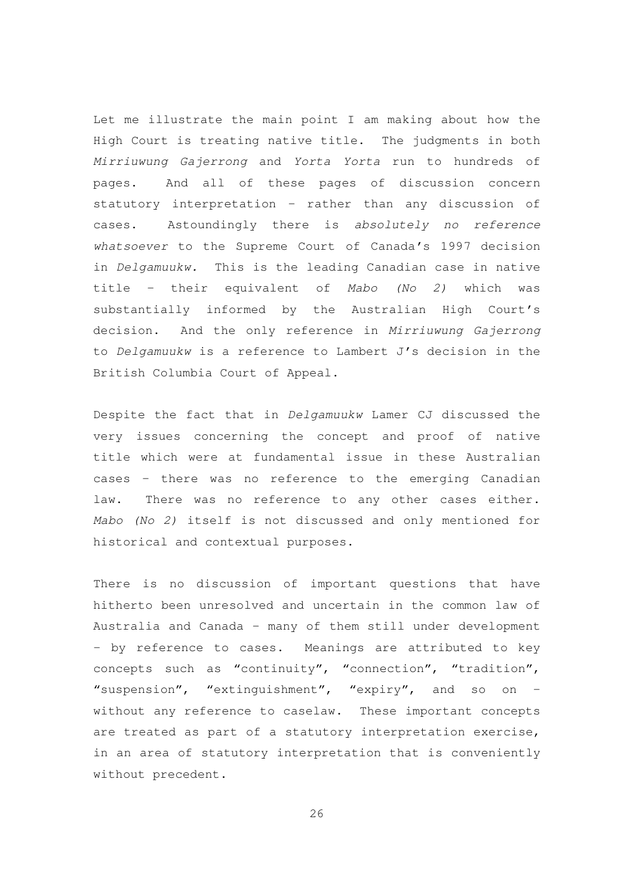Let me illustrate the main point I am making about how the High Court is treating native title. The judgments in both Mirriuwung Gajerrong and Yorta Yorta run to hundreds of pages. And all of these pages of discussion concern statutory interpretation – rather than any discussion of cases. Astoundingly there is absolutely no reference whatsoever to the Supreme Court of Canada's 1997 decision in Delgamuukw. This is the leading Canadian case in native title – their equivalent of Mabo (No 2) which was substantially informed by the Australian High Court's decision. And the only reference in Mirriuwung Gajerrong to Delgamuukw is a reference to Lambert J's decision in the British Columbia Court of Appeal.

Despite the fact that in Delgamuukw Lamer CJ discussed the very issues concerning the concept and proof of native title which were at fundamental issue in these Australian cases – there was no reference to the emerging Canadian law. There was no reference to any other cases either. Mabo (No 2) itself is not discussed and only mentioned for historical and contextual purposes.

There is no discussion of important questions that have hitherto been unresolved and uncertain in the common law of Australia and Canada – many of them still under development – by reference to cases. Meanings are attributed to key concepts such as "continuity", "connection", "tradition", "suspension", "extinguishment", "expiry", and so on – without any reference to caselaw. These important concepts are treated as part of a statutory interpretation exercise, in an area of statutory interpretation that is conveniently without precedent.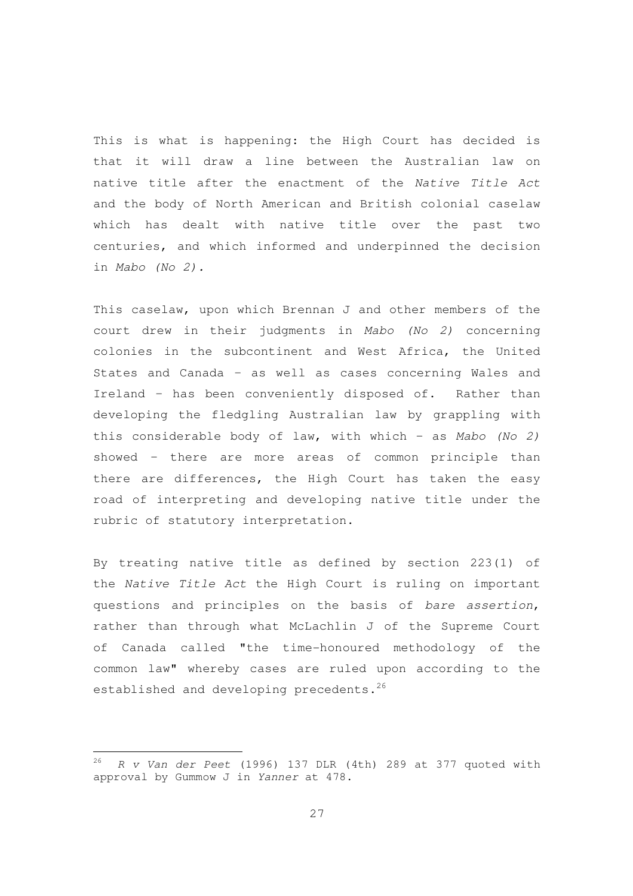This is what is happening: the High Court has decided is that it will draw a line between the Australian law on native title after the enactment of the Native Title Act and the body of North American and British colonial caselaw which has dealt with native title over the past two centuries, and which informed and underpinned the decision in Mabo (No 2).

This caselaw, upon which Brennan J and other members of the court drew in their judgments in Mabo (No 2) concerning colonies in the subcontinent and West Africa, the United States and Canada – as well as cases concerning Wales and Ireland – has been conveniently disposed of. Rather than developing the fledgling Australian law by grappling with this considerable body of law, with which - as Mabo (No 2) showed – there are more areas of common principle than there are differences, the High Court has taken the easy road of interpreting and developing native title under the rubric of statutory interpretation.

By treating native title as defined by section 223(1) of the Native Title Act the High Court is ruling on important questions and principles on the basis of bare assertion, rather than through what McLachlin J of the Supreme Court of Canada called "the time-honoured methodology of the common law" whereby cases are ruled upon according to the established and developing precedents.<sup>26</sup>

 $26$  R v Van der Peet (1996) 137 DLR (4th) 289 at 377 quoted with approval by Gummow J in Yanner at 478.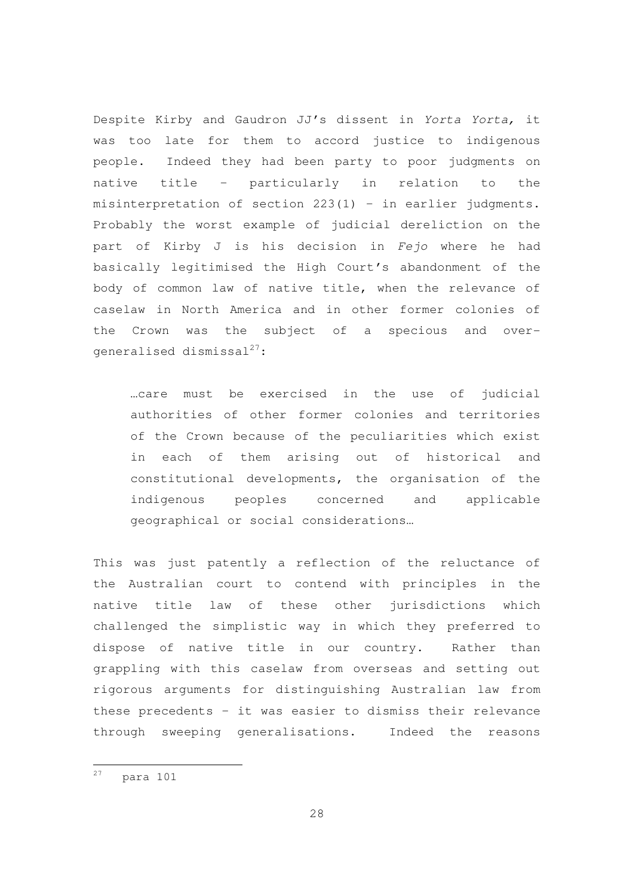Despite Kirby and Gaudron JJ's dissent in Yorta Yorta, it was too late for them to accord justice to indigenous people. Indeed they had been party to poor judgments on native title – particularly in relation to the misinterpretation of section 223(1) – in earlier judgments. Probably the worst example of judicial dereliction on the part of Kirby J is his decision in Fejo where he had basically legitimised the High Court's abandonment of the body of common law of native title, when the relevance of caselaw in North America and in other former colonies of the Crown was the subject of a specious and overgeneralised dismissal $^{27}\colon$ 

…care must be exercised in the use of judicial authorities of other former colonies and territories of the Crown because of the peculiarities which exist in each of them arising out of historical and constitutional developments, the organisation of the indigenous peoples concerned and applicable geographical or social considerations…

This was just patently a reflection of the reluctance of the Australian court to contend with principles in the native title law of these other jurisdictions which challenged the simplistic way in which they preferred to dispose of native title in our country. Rather than grappling with this caselaw from overseas and setting out rigorous arguments for distinguishing Australian law from these precedents – it was easier to dismiss their relevance through sweeping generalisations. Indeed the reasons

 $27$  para 101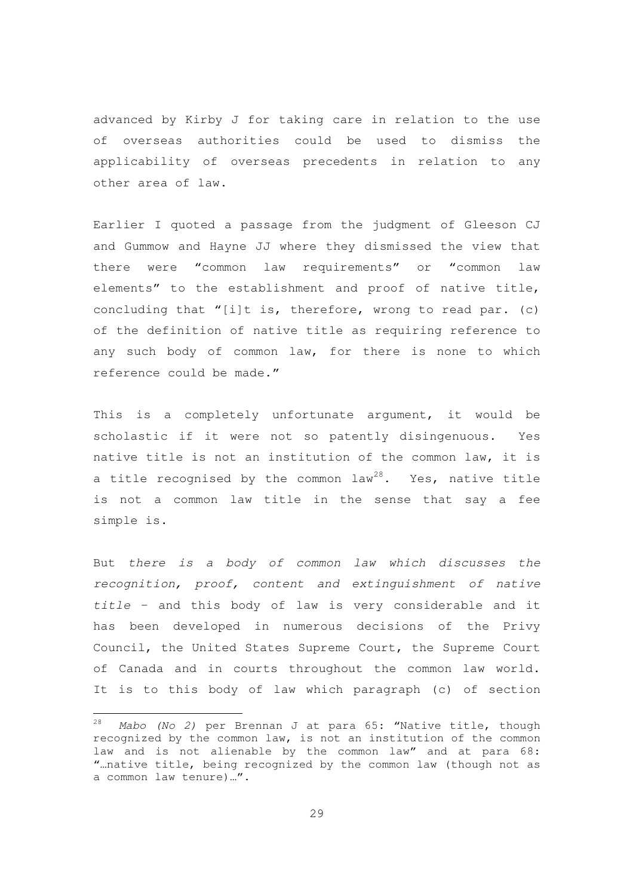advanced by Kirby J for taking care in relation to the use of overseas authorities could be used to dismiss the applicability of overseas precedents in relation to any other area of law.

Earlier I quoted a passage from the judgment of Gleeson CJ and Gummow and Hayne JJ where they dismissed the view that there were "common law requirements" or "common law elements" to the establishment and proof of native title, concluding that "[i]t is, therefore, wrong to read par. (c) of the definition of native title as requiring reference to any such body of common law, for there is none to which reference could be made."

This is a completely unfortunate argument, it would be scholastic if it were not so patently disingenuous. Yes native title is not an institution of the common law, it is a title recognised by the common  $law^{28}$ . Yes, native title is not a common law title in the sense that say a fee simple is.

But there is a body of common law which discusses the recognition, proof, content and extinguishment of native title – and this body of law is very considerable and it has been developed in numerous decisions of the Privy Council, the United States Supreme Court, the Supreme Court of Canada and in courts throughout the common law world. It is to this body of law which paragraph (c) of section

 $28$  Mabo (No 2) per Brennan J at para 65: "Native title, though recognized by the common law, is not an institution of the common law and is not alienable by the common law" and at para 68: "…native title, being recognized by the common law (though not as a common law tenure)…".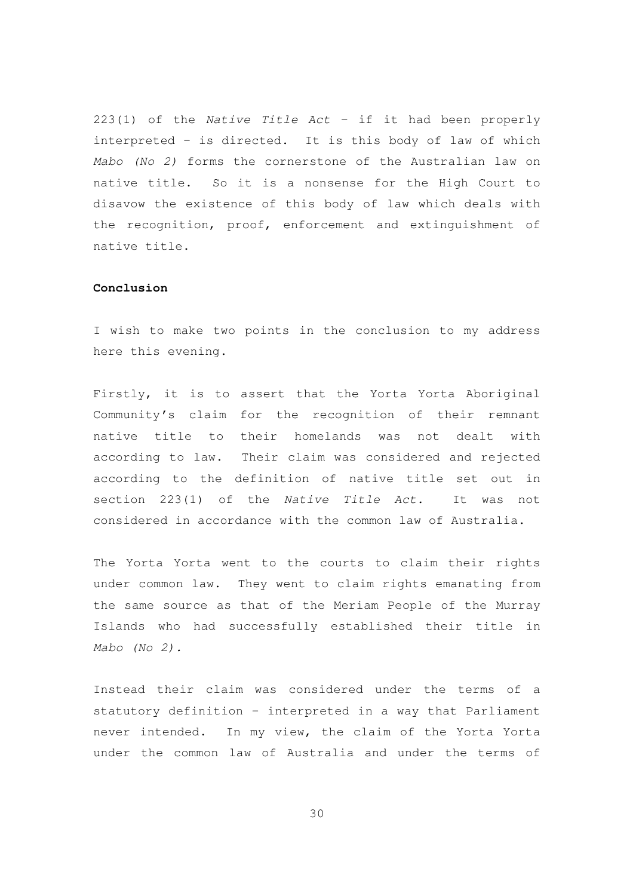223(1) of the Native Title Act – if it had been properly interpreted – is directed. It is this body of law of which Mabo (No 2) forms the cornerstone of the Australian law on native title. So it is a nonsense for the High Court to disavow the existence of this body of law which deals with the recognition, proof, enforcement and extinguishment of native title.

## **Conclusion**

I wish to make two points in the conclusion to my address here this evening.

Firstly, it is to assert that the Yorta Yorta Aboriginal Community's claim for the recognition of their remnant native title to their homelands was not dealt with according to law. Their claim was considered and rejected according to the definition of native title set out in section 223(1) of the Native Title Act. It was not considered in accordance with the common law of Australia.

The Yorta Yorta went to the courts to claim their rights under common law. They went to claim rights emanating from the same source as that of the Meriam People of the Murray Islands who had successfully established their title in Mabo (No 2).

Instead their claim was considered under the terms of a statutory definition – interpreted in a way that Parliament never intended. In my view, the claim of the Yorta Yorta under the common law of Australia and under the terms of